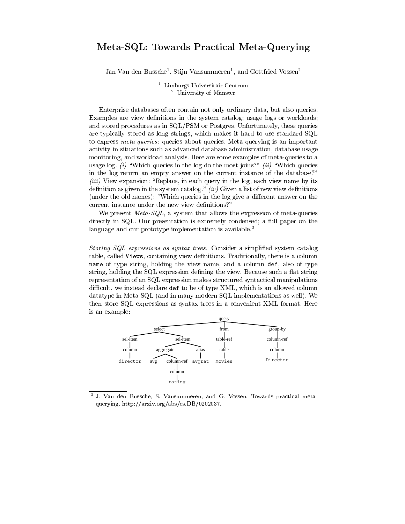## Meta-SQL: Towards Practical Meta-Querying

Jan Van den Bussche<sup>1</sup>, Stijn Vansummeren<sup>1</sup>, and Gottfried Vossen<sup>2</sup>

<sup>1</sup> Limburgs Universitair Centrum <sup>2</sup> University of Münster

Enterprise databases often contain not only ordinary data, but also queries. Examples are view definitions in the system catalog; usage logs or workloads; and stored procedures as in SQL/PSM or Postgres. Unfortunately, these queries are typically stored as long strings, which makes it hard to use standard SQL to express meta-queries: queries about queries. Meta-querying is an important activity in situations such as advanced database administration, database usage monitoring, and workload analysis. Here are some examples of meta-queries to a usage log. (i) "Which queries in the log do the most joins?" (ii) "Which queries in the log return an empty answer on the current instance of the database?" (iii) View expansion: "Replace, in each query in the log, each view name by its definition as given in the system catalog." (iv) Given a list of new view definitions (under the old names): "Which queries in the log give a different answer on the current instance under the new view definitions?"

We present *Meta-SQL*, a system that allows the expression of meta-queries directly in SQL. Our presentation is extremely condensed; a full paper on the language and our prototype implementation is available.<sup>3</sup>

*Storing SQL expressions as syntax trees.* Consider a simplified system catalog table, called Views, containing view definitions. Traditionally, there is a column name of type string, holding the view name, and a column def, also of type string, holding the SQL expression defining the view. Because such a flat string representation of an SQL expression makes structured syntactical manipulations difficult, we instead declare def to be of type XML, which is an allowed column datatype in Meta-SQL (and in many modern SQL implementations as well). We then store SQL expressions as syntax trees in a convenient XML format. Here is an example:



 $\overline{\mathbf{3}}$ J. Van den Bussche, S. Vansummeren, and G. Vossen. Towards practical metaquerying. http://arxiv.org/abs/cs.DB/0202037.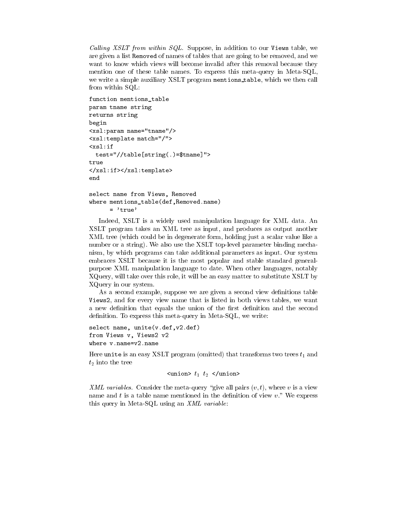Calling XSLT from within SQL. Suppose, in addition to our Views table, we are given a list Removed of names of tables that are going to be removed, and we want to know which views will become invalid after this removal because they mention one of these table names. To express this meta-query in Meta-SQL, we write a simple auxiliary XSLT program mentions\_table, which we then call from within SQL:

```
function mentions_table
param tname string
returns string
begin
<xsl:param name="tname"/>
<xsl:template match="/">
\langle xsl:iftest="//table[string(.)=$tname]">
true
</xsl:if></xsl:template>
end
select name from Views, Removed
where mentions_table(def, Removed.name)
      = 'true'
```
Indeed, XSLT is a widely used manipulation language for XML data. An XSLT program takes an XML tree as input, and produces as output another XML tree (which could be in degenerate form, holding just a scalar value like a number or a string). We also use the XSLT top-level parameter binding mechanism, by which programs can take additional parameters as input. Our system embraces XSLT because it is the most popular and stable standard generalpurpose XML manipulation language to date. When other languages, notably XQuery, will take over this role, it will be an easy matter to substitute XSLT by XQuery in our system.

As a second example, suppose we are given a second view definitions table Views2, and for every view name that is listed in both views tables, we want a new definition that equals the union of the first definition and the second definition. To express this meta-query in Meta-SQL, we write:

```
select name, unite(v.def, v2.def)
from Views v, Views2 v2
where v.name=v2.name
```
Here unite is an easy XSLT program (omitted) that transforms two trees  $t_1$  and  $t_2$  into the tree

```
\langleunion> t_1 t_2 \langle/union>
```
XML variables. Consider the meta-query "give all pairs  $(v, t)$ , where v is a view name and  $t$  is a table name mentioned in the definition of view  $v$ ." We express this query in Meta-SQL using an XML variable: